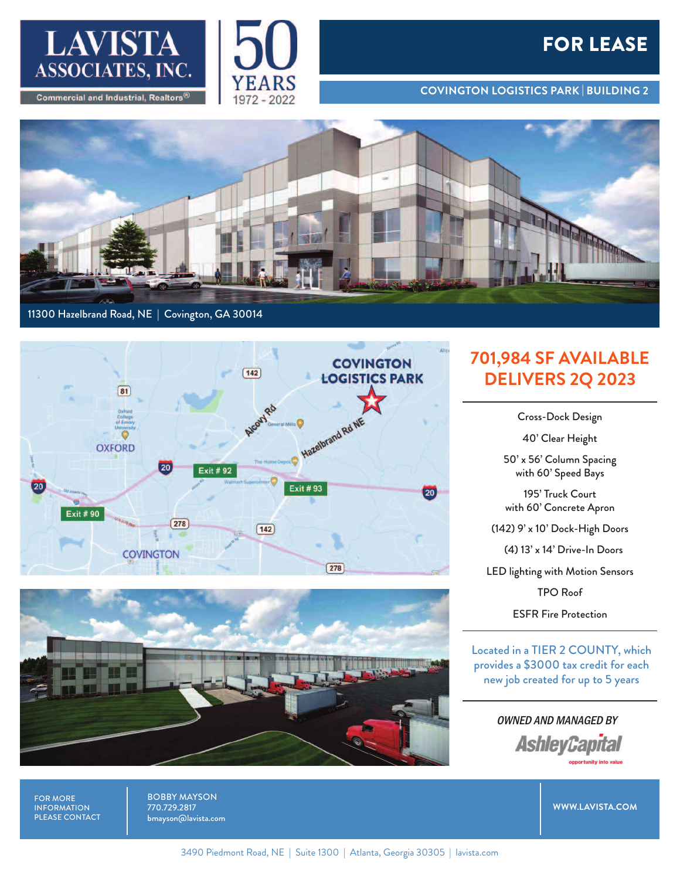



## **FOR LEASE**

**COVINGTON LOGISTICS PARK | BUILDING 2**



## 11300 Hazelbrand Road, NE | Covington, GA 30014





## **701,984 SF AVAILABLE DELIVERS 2Q 2023**

Cross-Dock Design

40' Clear Height

50' x 56' Column Spacing with 60' Speed Bays

195' Truck Court with 60' Concrete Apron

(142) 9' x 10' Dock-High Doors

(4) 13' x 14' Drive-In Doors

LED lighting with Motion Sensors

TPO Roof

ESFR Fire Protection

Located in a TIER 2 COUNTY, which provides a \$3000 tax credit for each new job created for up to 5 years

> OWNED AND MANAGED BY **AshleyCapital**

FOR MORE INFORMATION PLEASE CONTACT BOBBY MAYSON 770.729.2817 bmayson@lavista.com

**WWW.LAVISTA.COM**